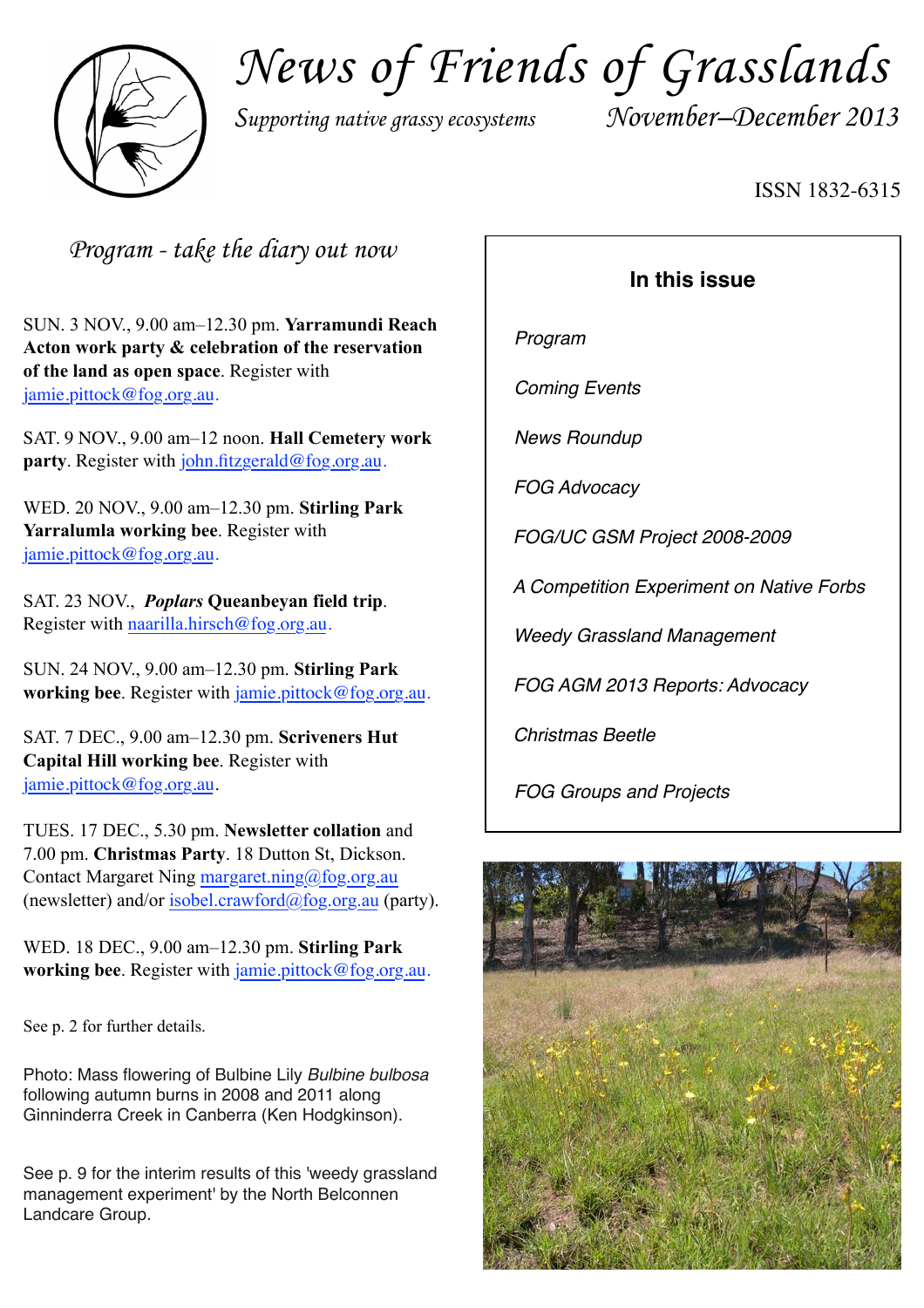

*News of Friends of Grasslands*

*Supporting native grassy ecosystems November–December 2013*

#### ISSN 1832-6315

*Program - take the diary out now*

SUN. 3 NOV., 9.00 am–12.30 pm. **Yarramundi Reach Acton work party & celebration of the reservation of the land as open space**. Register with [jamie.pittock@fog.org.au](mailto:jamie.pittock@fog.org.au).

SAT. 9 NOV., 9.00 am–12 noon. **Hall Cemetery work party**. Register with [john.fitzgerald@fog.org.au](mailto:john.fitzgerald@fog.org.au).

WED. 20 NOV., 9.00 am–12.30 pm. **Stirling Park Yarralumla working bee**. Register with [jamie.pittock@fog.org.au](mailto:jamie.pittock@fog.org.au).

SAT. 23 NOV., *Poplars* **Queanbeyan field trip**. Register with [naarilla.hirsch](mailto:naarilla.hirsch@fog.org.au)[@fog.org.au.](mailto:naarilla.hirsch@fog.org.au)

SUN. 24 NOV., 9.00 am–12.30 pm. **Stirling Park working bee**. Register with [jamie.pittock@fog.org.au](mailto:jamie.pittock@fog.org.au).

SAT. 7 DEC., 9.00 am–12.30 pm. **Scriveners Hut Capital Hill working bee**. Register with [jamie.pittock@fog.org.au](mailto:jamie.pittock@fog.org.au).

TUES. 17 DEC., 5.30 pm. **Newsletter collation** and 7.00 pm. **Christmas Party**. 18 Dutton St, Dickson. Contact Margaret Ning margaret.ning@fog.org.au (newsletter) and/or [isobel.crawford@fog.org.au](mailto:isobel.crawford@fog.org.au) (party).

WED. 18 DEC., 9.00 am–12.30 pm. **Stirling Park working bee**. Register with *[jamie.pittock@fog.org.au](mailto:jamie.pittock@fog.org.au).* 

See p. 2 for further details.

Photo: Mass flowering of Bulbine Lily *Bulbine bulbosa* following autumn burns in 2008 and 2011 along Ginninderra Creek in Canberra (Ken Hodgkinson).

See p. 9 for the interim results of this 'weedy grassland management experiment' by the North Belconnen Landcare Group.

#### **In this issue**

*Program*

*Coming Events*

*News Roundup*

*FOG Advocacy*

*FOG/UC GSM Project 2008-2009*

*A Competition Experiment on Native Forbs*

*Weedy Grassland Management* 

*FOG AGM 2013 Reports: Advocacy*

*Christmas Beetle*

*FOG Groups and Projects*

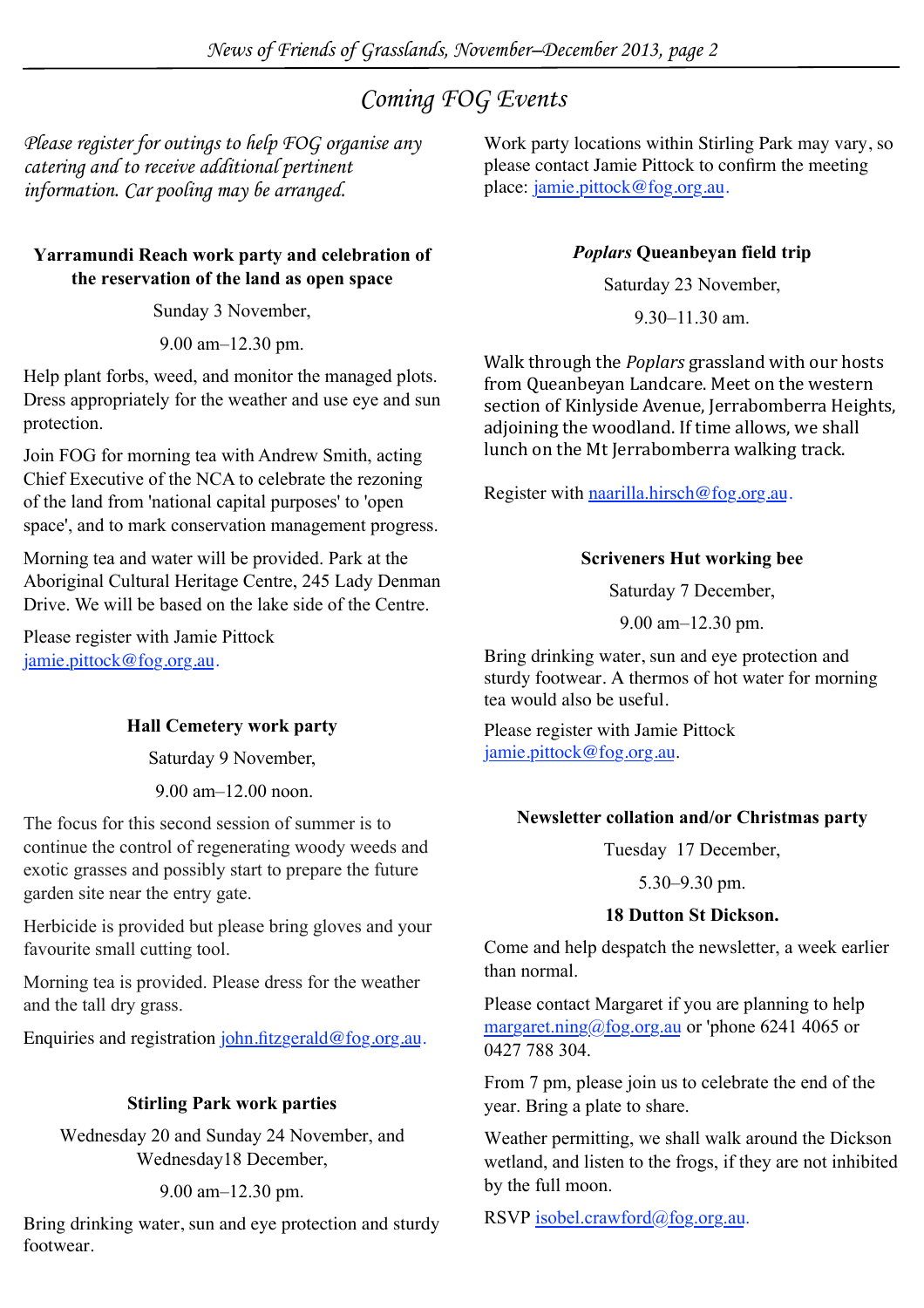### *Coming FOG Events*

*Please register for outings to help FOG organise any catering and to receive additional pertinent information. Car pooling may be arranged.* 

#### **Yarramundi Reach work party and celebration of the reservation of the land as open space**

Sunday 3 November,

9.00 am–12.30 pm.

Help plant forbs, weed, and monitor the managed plots. Dress appropriately for the weather and use eye and sun protection.

Join FOG for morning tea with Andrew Smith, acting Chief Executive of the NCA to celebrate the rezoning of the land from 'national capital purposes' to 'open space', and to mark conservation management progress.

Morning tea and water will be provided. Park at the Aboriginal Cultural Heritage Centre, 245 Lady Denman Drive. We will be based on the lake side of the Centre.

Please register with Jamie Pittock [jamie.pittock@fog.org.au](mailto:jamie.pittock@fog.org.au).

#### **Hall Cemetery work party**

Saturday 9 November,

9.00 am–12.00 noon.

The focus for this second session of summer is to continue the control of regenerating woody weeds and exotic grasses and possibly start to prepare the future garden site near the entry gate.

Herbicide is provided but please bring gloves and your favourite small cutting tool.

Morning tea is provided. Please dress for the weather and the tall dry grass.

Enquiries and registration [john.fitzgerald@fog.org.au.](mailto:john.fitzgerald@fog.org.au)

#### **Stirling Park work parties**

Wednesday 20 and Sunday 24 November, and Wednesday18 December,

#### 9.00 am–12.30 pm.

Bring drinking water, sun and eye protection and sturdy footwear.

Work party locations within Stirling Park may vary, so please contact Jamie Pittock to confirm the meeting place: [jamie.pittock@fog.org.au.](mailto:jamie.pittock@fog.org.au)

#### *Poplars* **Queanbeyan field trip**

Saturday 23 November,

9.30–11.30 am.

Walk through the *Poplars* grassland with our hosts from Queanbeyan Landcare. Meet on the western section of Kinlyside Avenue, Jerrabomberra Heights, adjoining the woodland. If time allows, we shall lunch on the Mt Jerrabomberra walking track.

Register with [naarilla.hirsch](mailto:naarilla.hirsch@fog.org.au)[@fog.org.au](mailto:naarilla.hirsch@fog.org.au).

#### **Scriveners Hut working bee**

Saturday 7 December,

9.00 am–12.30 pm.

Bring drinking water, sun and eye protection and sturdy footwear. A thermos of hot water for morning tea would also be useful.

Please register with Jamie Pittock [jamie.pittock@fog.org.au](mailto:jamie.pittock@fog.org.au).

#### **Newsletter collation and/or Christmas party**

Tuesday 17 December,

5.30–9.30 pm.

#### **18 Dutton St Dickson.**

Come and help despatch the newsletter, a week earlier than normal.

Please contact Margaret if you are planning to help [margaret.ning@fog.org.au](mailto:margaret.ning@fog.org.au) or 'phone 6241 4065 or 0427 788 304.

From 7 pm, please join us to celebrate the end of the year. Bring a plate to share.

Weather permitting, we shall walk around the Dickson wetland, and listen to the frogs, if they are not inhibited by the full moon.

RSVP [isobel.crawford@fog.org.au](mailto:isobel.crawford@fog.org.au).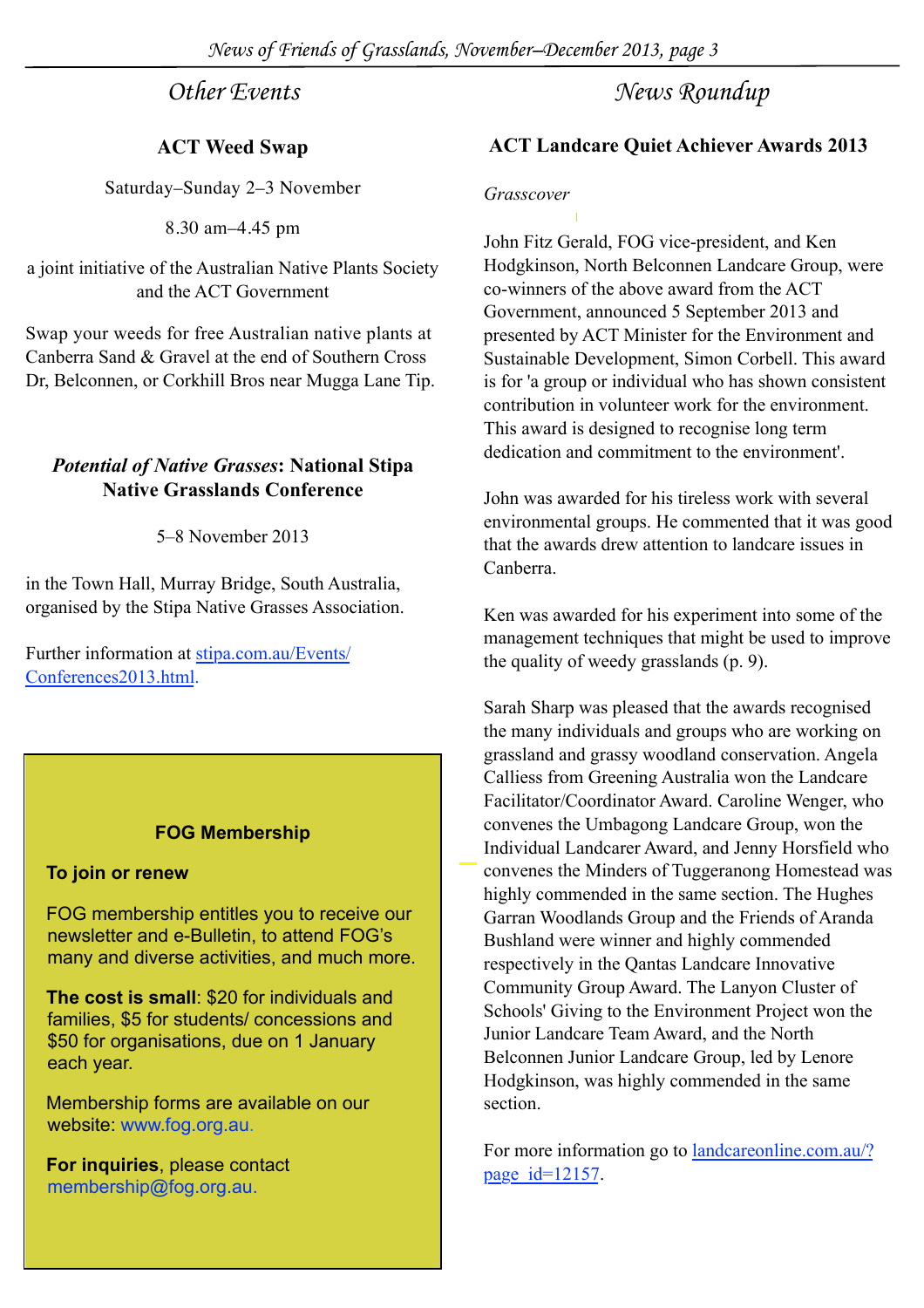*Other Events*

#### **ACT Weed Swap**

Saturday–Sunday 2–3 November

8.30 am–4.45 pm

a joint initiative of the Australian Native Plants Society and the ACT Government

Swap your weeds for free Australian native plants at Canberra Sand & Gravel at the end of Southern Cross Dr, Belconnen, or Corkhill Bros near Mugga Lane Tip.

#### *Potential of Native Grasses***: National Stipa Native Grasslands Conference**

5–8 November 2013

in the Town Hall, Murray Bridge, South Australia, organised by the Stipa Native Grasses Association.

Further information at [stipa.com.au/Events/](http://stipa.com.au/Events/Conferences2013.html) [Conferences2013.html](http://stipa.com.au/Events/Conferences2013.html).

#### **FOG Membership**

#### **To join or renew**

FOG membership entitles you to receive our newsletter and e-Bulletin, to attend FOG's many and diverse activities, and much more.

**The cost is small**: \$20 for individuals and families, \$5 for students/ concessions and \$50 for organisations, due on 1 January each year.

Membership forms are available on our website: [www.fog.org.au.](http://www.fog.org.au/membership.htm)

**For inquiries**, please contact membership@fog.org.au.

#### *News Roundup*

#### **ACT Landcare Quiet Achiever Awards 2013**

#### *Grasscover*

John Fitz Gerald, FOG vice-president, and Ken Hodgkinson, North Belconnen Landcare Group, were co-winners of the above award from the ACT Government, announced 5 September 2013 and presented by ACT Minister for the Environment and Sustainable Development, Simon Corbell. This award is for 'a group or individual who has shown consistent contribution in volunteer work for the environment. This award is designed to recognise long term dedication and commitment to the environment'.

John was awarded for his tireless work with several environmental groups. He commented that it was good that the awards drew attention to landcare issues in Canberra.

Ken was awarded for his experiment into some of the management techniques that might be used to improve the quality of weedy grasslands (p. 9).

Sarah Sharp was pleased that the awards recognised the many individuals and groups who are working on grassland and grassy woodland conservation. Angela Calliess from Greening Australia won the Landcare Facilitator/Coordinator Award. Caroline Wenger, who convenes the Umbagong Landcare Group, won the Individual Landcarer Award, and Jenny Horsfield who convenes the Minders of Tuggeranong Homestead was highly commended in the same section. The Hughes Garran Woodlands Group and the Friends of Aranda Bushland were winner and highly commended respectively in the Qantas Landcare Innovative Community Group Award. The Lanyon Cluster of Schools' Giving to the Environment Project won the Junior Landcare Team Award, and the North Belconnen Junior Landcare Group, led by Lenore Hodgkinson, was highly commended in the same section.

For more information go to [landcareonline.com.au/?](http://www.landcareonline.com.au/?page_id=12157) [page\\_id=12157](http://www.landcareonline.com.au/?page_id=12157).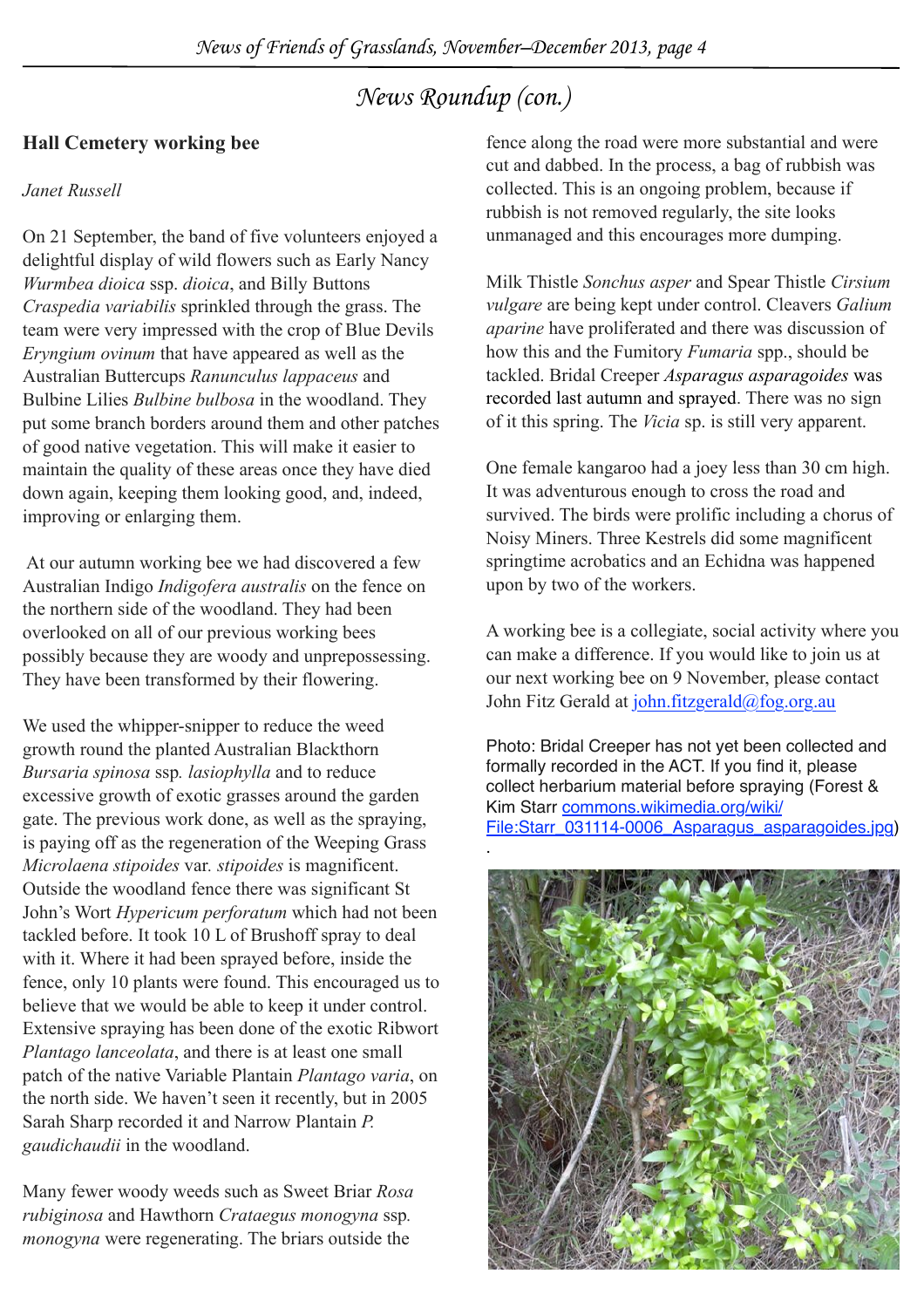### *News Roundup (con.)*

#### **Hall Cemetery working bee**

#### *Janet Russell*

On 21 September, the band of five volunteers enjoyed a delightful display of wild flowers such as Early Nancy *Wurmbea dioica* ssp. *dioica*, and Billy Buttons *Craspedia variabilis* sprinkled through the grass. The team were very impressed with the crop of Blue Devils *Eryngium ovinum* that have appeared as well as the Australian Buttercups *Ranunculus lappaceus* and Bulbine Lilies *Bulbine bulbosa* in the woodland. They put some branch borders around them and other patches of good native vegetation. This will make it easier to maintain the quality of these areas once they have died down again, keeping them looking good, and, indeed, improving or enlarging them.

 At our autumn working bee we had discovered a few Australian Indigo *Indigofera australis* on the fence on the northern side of the woodland. They had been overlooked on all of our previous working bees possibly because they are woody and unprepossessing. They have been transformed by their flowering.

We used the whipper-snipper to reduce the weed growth round the planted Australian Blackthorn *Bursaria spinosa* ssp*. lasiophylla* and to reduce excessive growth of exotic grasses around the garden gate. The previous work done, as well as the spraying, is paying off as the regeneration of the Weeping Grass *Microlaena stipoides* var*. stipoides* is magnificent. Outside the woodland fence there was significant St John's Wort *Hypericum perforatum* which had not been tackled before. It took 10 L of Brushoff spray to deal with it. Where it had been sprayed before, inside the fence, only 10 plants were found. This encouraged us to believe that we would be able to keep it under control. Extensive spraying has been done of the exotic Ribwort *Plantago lanceolata*, and there is at least one small patch of the native Variable Plantain *Plantago varia*, on the north side. We haven't seen it recently, but in 2005 Sarah Sharp recorded it and Narrow Plantain *P. gaudichaudii* in the woodland.

Many fewer woody weeds such as Sweet Briar *Rosa rubiginosa* and Hawthorn *Crataegus monogyna* ssp*. monogyna* were regenerating. The briars outside the

fence along the road were more substantial and were cut and dabbed. In the process, a bag of rubbish was collected. This is an ongoing problem, because if rubbish is not removed regularly, the site looks unmanaged and this encourages more dumping.

Milk Thistle *Sonchus asper* and Spear Thistle *Cirsium vulgare* are being kept under control. Cleavers *Galium aparine* have proliferated and there was discussion of how this and the Fumitory *Fumaria* spp., should be tackled. Bridal Creeper *Asparagus asparagoides* was recorded last autumn and sprayed. There was no sign of it this spring. The *Vicia* sp. is still very apparent.

One female kangaroo had a joey less than 30 cm high. It was adventurous enough to cross the road and survived. The birds were prolific including a chorus of Noisy Miners. Three Kestrels did some magnificent springtime acrobatics and an Echidna was happened upon by two of the workers.

A working bee is a collegiate, social activity where you can make a difference. If you would like to join us at our next working bee on 9 November, please contact John Fitz Gerald at [john.fitzgerald@fog.org.au](mailto:john.fitzgerald@fog.org.au)

Photo: Bridal Creeper has not yet been collected and formally recorded in the ACT. If you find it, please collect herbarium material before spraying (Forest & Kim Starr [commons.wikimedia.org/wiki/](http://commons.wikimedia.org/wiki/File:Starr_031114-0006_Asparagus_asparagoides.jpg) [File:Starr\\_031114-0006\\_Asparagus\\_asparagoides.jpg\)](http://commons.wikimedia.org/wiki/File:Starr_031114-0006_Asparagus_asparagoides.jpg)

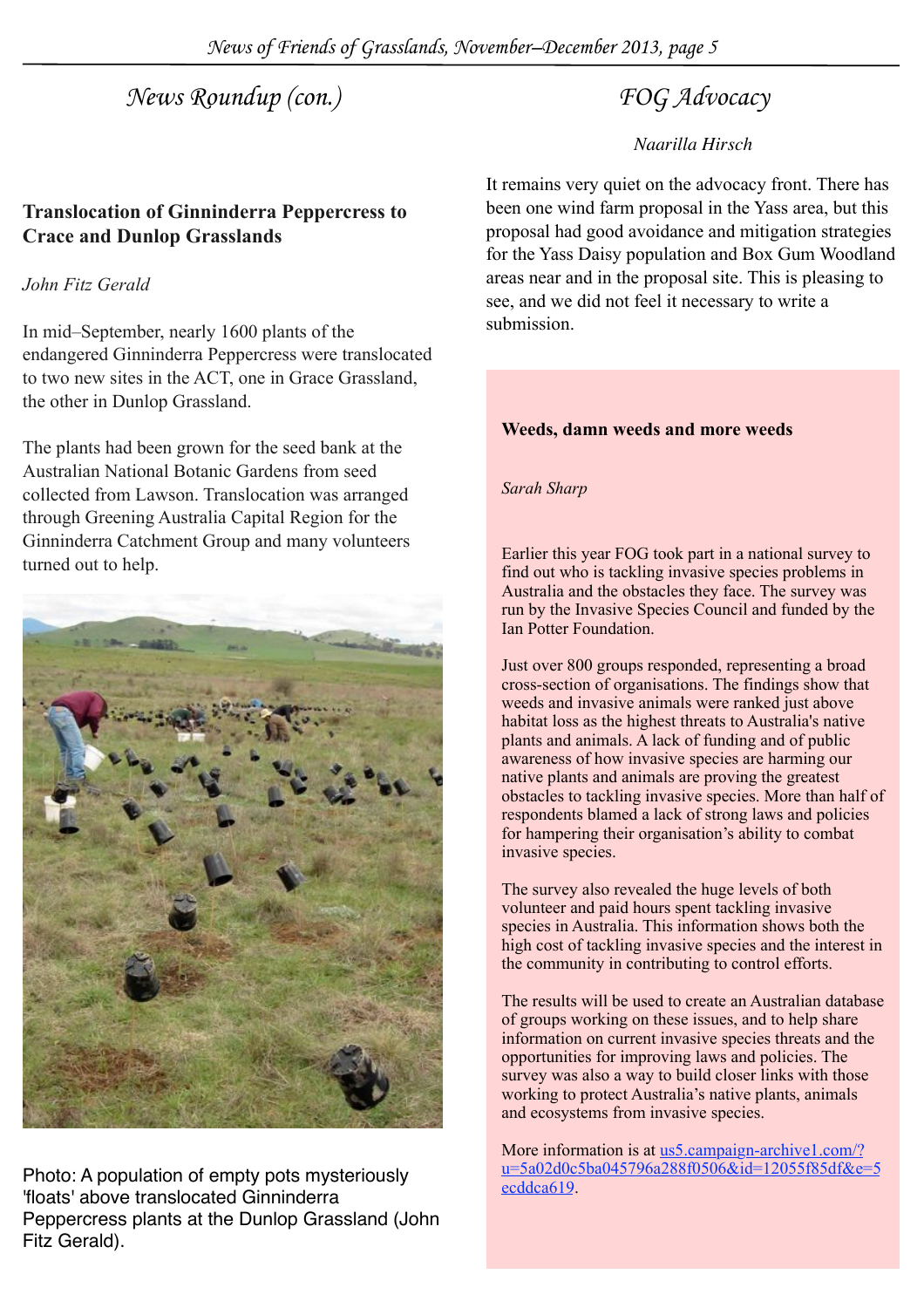*News of Friends of Grasslands, November–December 2013, page 5*

### *News Roundup (con.) FOG Advocacy*

#### **Translocation of Ginninderra Peppercress to Crace and Dunlop Grasslands**

#### *John Fitz Gerald*

In mid–September, nearly 1600 plants of the endangered Ginninderra Peppercress were translocated to two new sites in the ACT, one in Grace Grassland, the other in Dunlop Grassland.

The plants had been grown for the seed bank at the Australian National Botanic Gardens from seed collected from Lawson. Translocation was arranged through Greening Australia Capital Region for the Ginninderra Catchment Group and many volunteers turned out to help.



Photo: A population of empty pots mysteriously 'floats' above translocated Ginninderra Peppercress plants at the Dunlop Grassland (John Fitz Gerald).

#### *Naarilla Hirsch*

It remains very quiet on the advocacy front. There has been one wind farm proposal in the Yass area, but this proposal had good avoidance and mitigation strategies for the Yass Daisy population and Box Gum Woodland areas near and in the proposal site. This is pleasing to see, and we did not feel it necessary to write a submission.

#### **Weeds, damn weeds and more weeds**

#### *Sarah Sharp*

Earlier this year FOG took part in a national survey to find out who is tackling invasive species problems in Australia and the obstacles they face. The survey was run by the Invasive Species Council and funded by the Ian Potter Foundation.

Just over 800 groups responded, representing a broad cross-section of organisations. The findings show that weeds and invasive animals were ranked just above habitat loss as the highest threats to Australia's native plants and animals. A lack of funding and of public awareness of how invasive species are harming our native plants and animals are proving the greatest obstacles to tackling invasive species. More than half of respondents blamed a lack of strong laws and policies for hampering their organisation's ability to combat invasive species.

The survey also revealed the huge levels of both volunteer and paid hours spent tackling invasive species in Australia. This information shows both the high cost of tackling invasive species and the interest in the community in contributing to control efforts.

The results will be used to create an Australian database of groups working on these issues, and to help share information on current invasive species threats and the opportunities for improving laws and policies. The survey was also a way to build closer links with those working to protect Australia's native plants, animals and ecosystems from invasive species.

More information is at [us5.campaign-archive1.com/?](http://us5.campaign-archive1.com/?u=5a02d0c5ba045796a288f0506&id=12055f85df&e=5ecddca619.) [u=5a02d0c5ba045796a288f0506&id=12055f85df&e=5](http://us5.campaign-archive1.com/?u=5a02d0c5ba045796a288f0506&id=12055f85df&e=5ecddca619.) [ecddca619.](http://us5.campaign-archive1.com/?u=5a02d0c5ba045796a288f0506&id=12055f85df&e=5ecddca619.)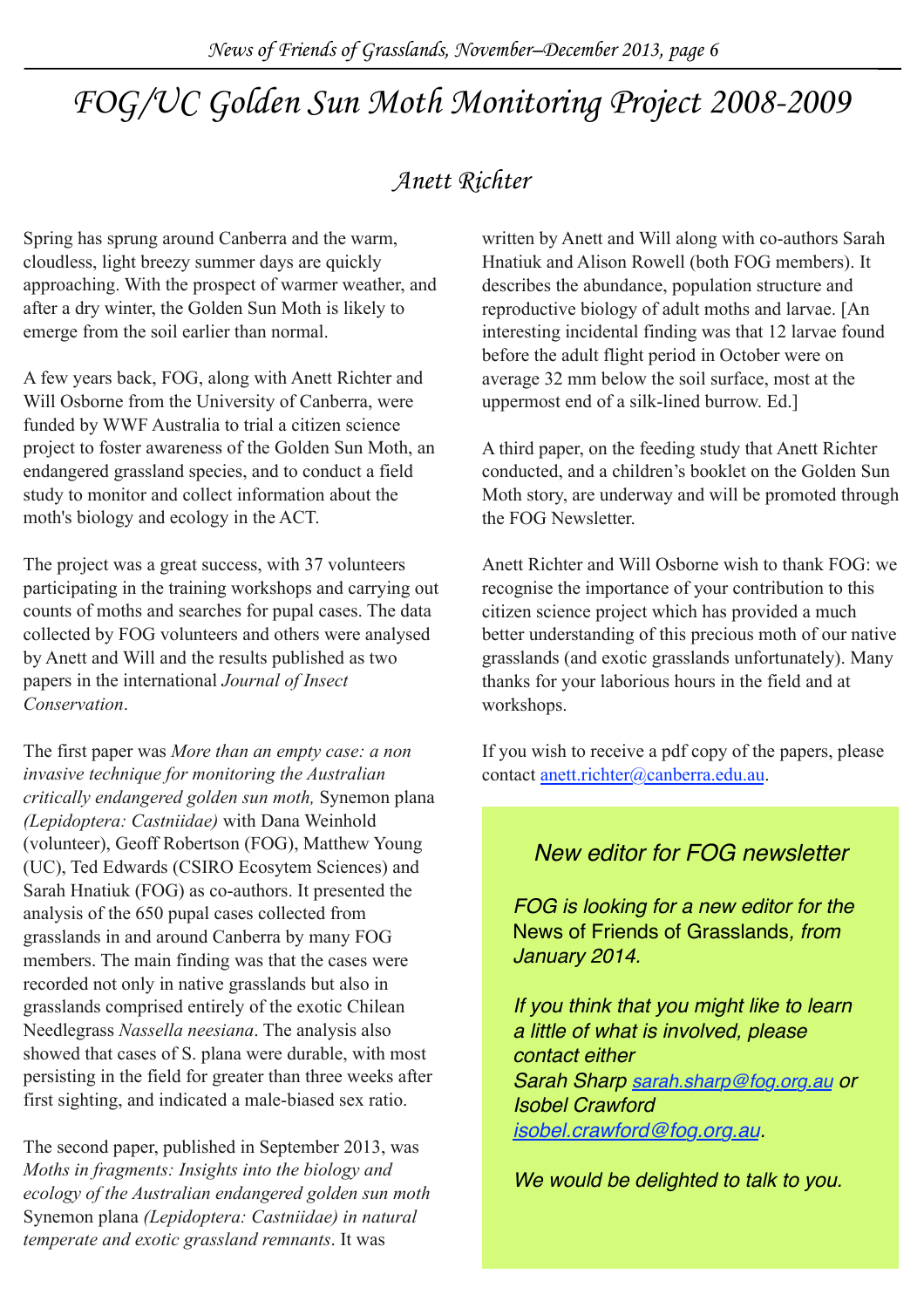## *FOG/UC Golden Sun Moth Monitoring Project 2008-2009*

### *Anett Richter*

Spring has sprung around Canberra and the warm, cloudless, light breezy summer days are quickly approaching. With the prospect of warmer weather, and after a dry winter, the Golden Sun Moth is likely to emerge from the soil earlier than normal.

A few years back, FOG, along with Anett Richter and Will Osborne from the University of Canberra, were funded by WWF Australia to trial a citizen science project to foster awareness of the Golden Sun Moth, an endangered grassland species, and to conduct a field study to monitor and collect information about the moth's biology and ecology in the ACT.

The project was a great success, with 37 volunteers participating in the training workshops and carrying out counts of moths and searches for pupal cases. The data collected by FOG volunteers and others were analysed by Anett and Will and the results published as two papers in the international *Journal of Insect Conservation*.

The first paper was *More than an empty case: a non invasive technique for monitoring the Australian critically endangered golden sun moth,* Synemon plana *(Lepidoptera: Castniidae)* with Dana Weinhold (volunteer), Geoff Robertson (FOG), Matthew Young (UC), Ted Edwards (CSIRO Ecosytem Sciences) and Sarah Hnatiuk (FOG) as co-authors. It presented the analysis of the 650 pupal cases collected from grasslands in and around Canberra by many FOG members. The main finding was that the cases were recorded not only in native grasslands but also in grasslands comprised entirely of the exotic Chilean Needlegrass *Nassella neesiana*. The analysis also showed that cases of S. plana were durable, with most persisting in the field for greater than three weeks after first sighting, and indicated a male-biased sex ratio.

The second paper, published in September 2013, was *Moths in fragments: Insights into the biology and ecology of the Australian endangered golden sun moth*  Synemon plana *(Lepidoptera: Castniidae) in natural temperate and exotic grassland remnants*. It was

written by Anett and Will along with co-authors Sarah Hnatiuk and Alison Rowell (both FOG members). It describes the abundance, population structure and reproductive biology of adult moths and larvae. [An interesting incidental finding was that 12 larvae found before the adult flight period in October were on average 32 mm below the soil surface, most at the uppermost end of a silk-lined burrow. Ed.]

A third paper, on the feeding study that Anett Richter conducted, and a children's booklet on the Golden Sun Moth story, are underway and will be promoted through the FOG Newsletter.

Anett Richter and Will Osborne wish to thank FOG: we recognise the importance of your contribution to this citizen science project which has provided a much better understanding of this precious moth of our native grasslands (and exotic grasslands unfortunately). Many thanks for your laborious hours in the field and at workshops.

If you wish to receive a pdf copy of the papers, please contact [anett.richter@canberra.edu.au](mailto:anett.richter@canberra.edu.au).

#### *New editor for FOG newsletter*

*FOG is looking for a new editor for the*  News of Friends of Grasslands*, from January 2014.*

*If you think that you might like to learn a little of what is involved, please contact either Sarah Sharp [sarah.sharp@fog.org.au](mailto:sarah.sharp@fog.org.au) or Isobel Crawford [isobel.crawford@fog.org.au](mailto:isobel.crawford@fog.org.au).* 

*We would be delighted to talk to you.*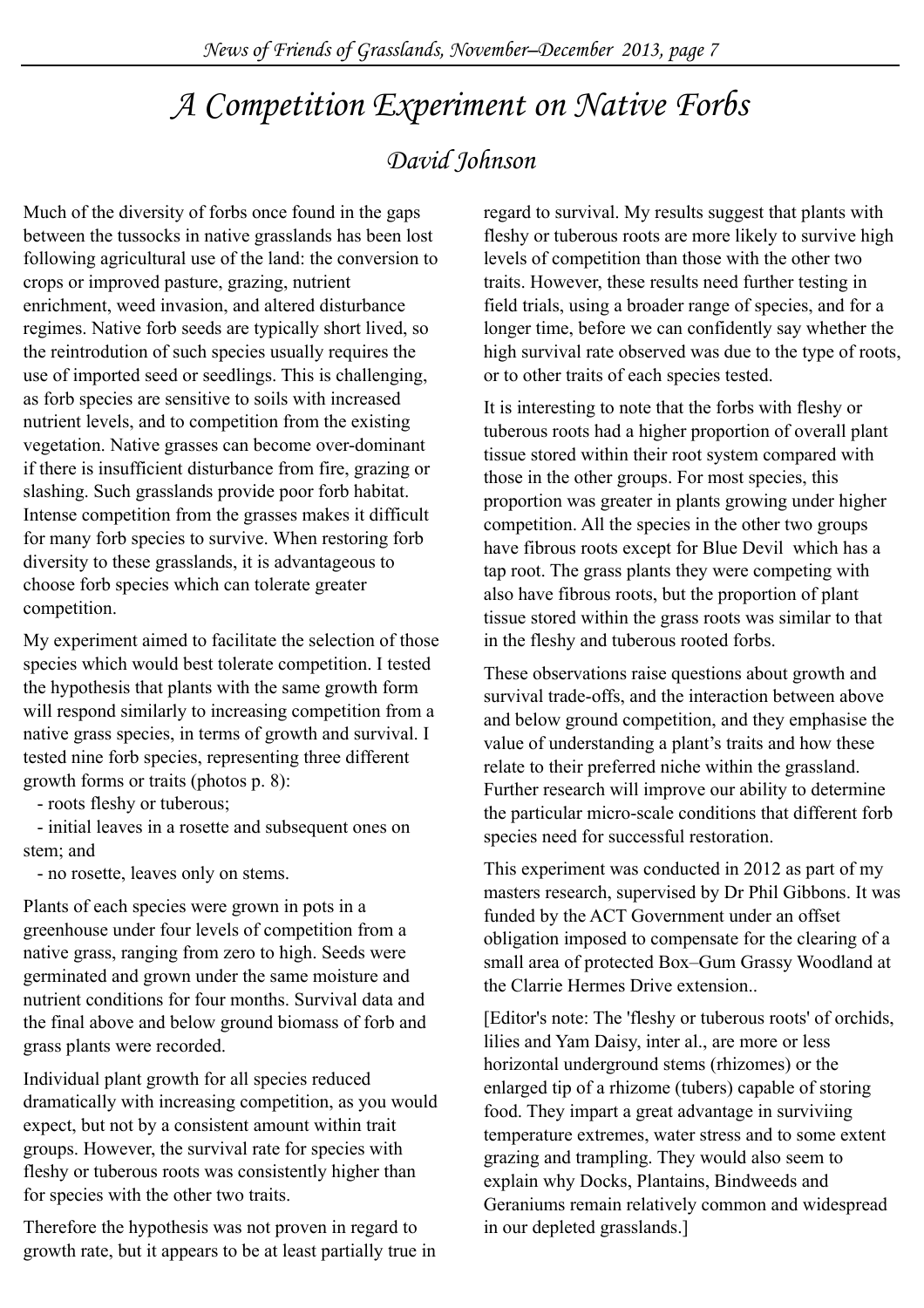### *A Competition Experiment on Native Forbs*

### *David Johnson*

Much of the diversity of forbs once found in the gaps between the tussocks in native grasslands has been lost following agricultural use of the land: the conversion to crops or improved pasture, grazing, nutrient enrichment, weed invasion, and altered disturbance regimes. Native forb seeds are typically short lived, so the reintrodution of such species usually requires the use of imported seed or seedlings. This is challenging, as forb species are sensitive to soils with increased nutrient levels, and to competition from the existing vegetation. Native grasses can become over-dominant if there is insufficient disturbance from fire, grazing or slashing. Such grasslands provide poor forb habitat. Intense competition from the grasses makes it difficult for many forb species to survive. When restoring forb diversity to these grasslands, it is advantageous to choose forb species which can tolerate greater competition.

My experiment aimed to facilitate the selection of those species which would best tolerate competition. I tested the hypothesis that plants with the same growth form will respond similarly to increasing competition from a native grass species, in terms of growth and survival. I tested nine forb species, representing three different growth forms or traits (photos p. 8):

- roots fleshy or tuberous;

 - initial leaves in a rosette and subsequent ones on stem<sup>c</sup> and

- no rosette, leaves only on stems.

Plants of each species were grown in pots in a greenhouse under four levels of competition from a native grass, ranging from zero to high. Seeds were germinated and grown under the same moisture and nutrient conditions for four months. Survival data and the final above and below ground biomass of forb and grass plants were recorded.

Individual plant growth for all species reduced dramatically with increasing competition, as you would expect, but not by a consistent amount within trait groups. However, the survival rate for species with fleshy or tuberous roots was consistently higher than for species with the other two traits.

Therefore the hypothesis was not proven in regard to growth rate, but it appears to be at least partially true in regard to survival. My results suggest that plants with fleshy or tuberous roots are more likely to survive high levels of competition than those with the other two traits. However, these results need further testing in field trials, using a broader range of species, and for a longer time, before we can confidently say whether the high survival rate observed was due to the type of roots. or to other traits of each species tested.

It is interesting to note that the forbs with fleshy or tuberous roots had a higher proportion of overall plant tissue stored within their root system compared with those in the other groups. For most species, this proportion was greater in plants growing under higher competition. All the species in the other two groups have fibrous roots except for Blue Devil which has a tap root. The grass plants they were competing with also have fibrous roots, but the proportion of plant tissue stored within the grass roots was similar to that in the fleshy and tuberous rooted forbs.

These observations raise questions about growth and survival trade-offs, and the interaction between above and below ground competition, and they emphasise the value of understanding a plant's traits and how these relate to their preferred niche within the grassland. Further research will improve our ability to determine the particular micro-scale conditions that different forb species need for successful restoration.

This experiment was conducted in 2012 as part of my masters research, supervised by Dr Phil Gibbons. It was funded by the ACT Government under an offset obligation imposed to compensate for the clearing of a small area of protected Box–Gum Grassy Woodland at the Clarrie Hermes Drive extension..

[Editor's note: The 'fleshy or tuberous roots' of orchids, lilies and Yam Daisy, inter al., are more or less horizontal underground stems (rhizomes) or the enlarged tip of a rhizome (tubers) capable of storing food. They impart a great advantage in surviviing temperature extremes, water stress and to some extent grazing and trampling. They would also seem to explain why Docks, Plantains, Bindweeds and Geraniums remain relatively common and widespread in our depleted grasslands.]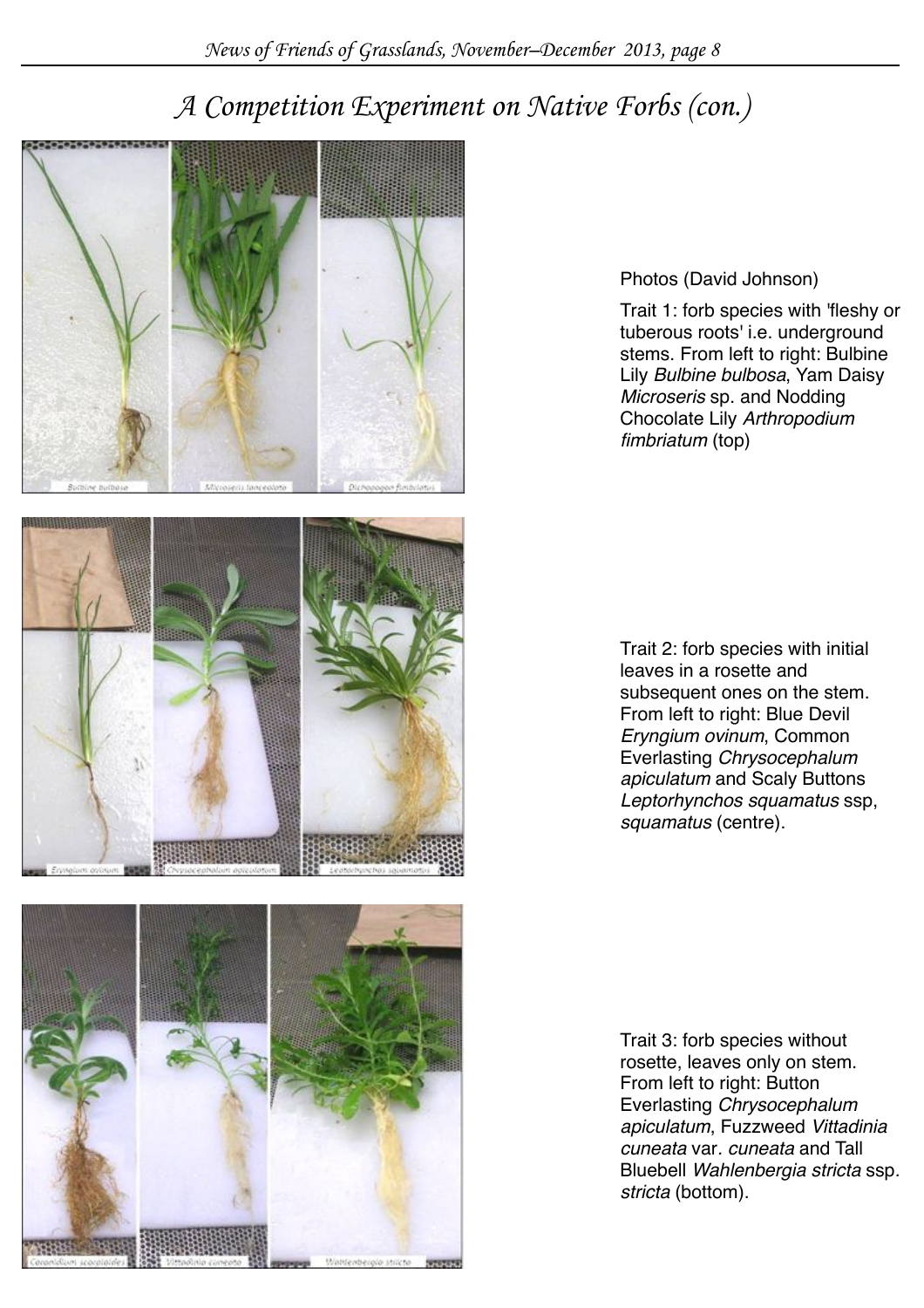### *A Competition Experiment on Native Forbs (con.)*







Photos (David Johnson)

Trait 1: forb species with 'fleshy or tuberous roots' i.e. underground stems. From left to right: Bulbine Lily *Bulbine bulbosa*, Yam Daisy *Microseris* sp. and Nodding Chocolate Lily *Arthropodium fimbriatum* (top)

Trait 2: forb species with initial leaves in a rosette and subsequent ones on the stem. From left to right: Blue Devil *Eryngium ovinum*, Common Everlasting *Chrysocephalum apiculatum* and Scaly Buttons *Leptorhynchos squamatus* ssp, *squamatus* (centre).

Trait 3: forb species without rosette, leaves only on stem. From left to right: Button Everlasting *Chrysocephalum apiculatum*, Fuzzweed *Vittadinia cuneata* var*. cuneata* and Tall Bluebell *Wahlenbergia stricta* ssp*. stricta* (bottom).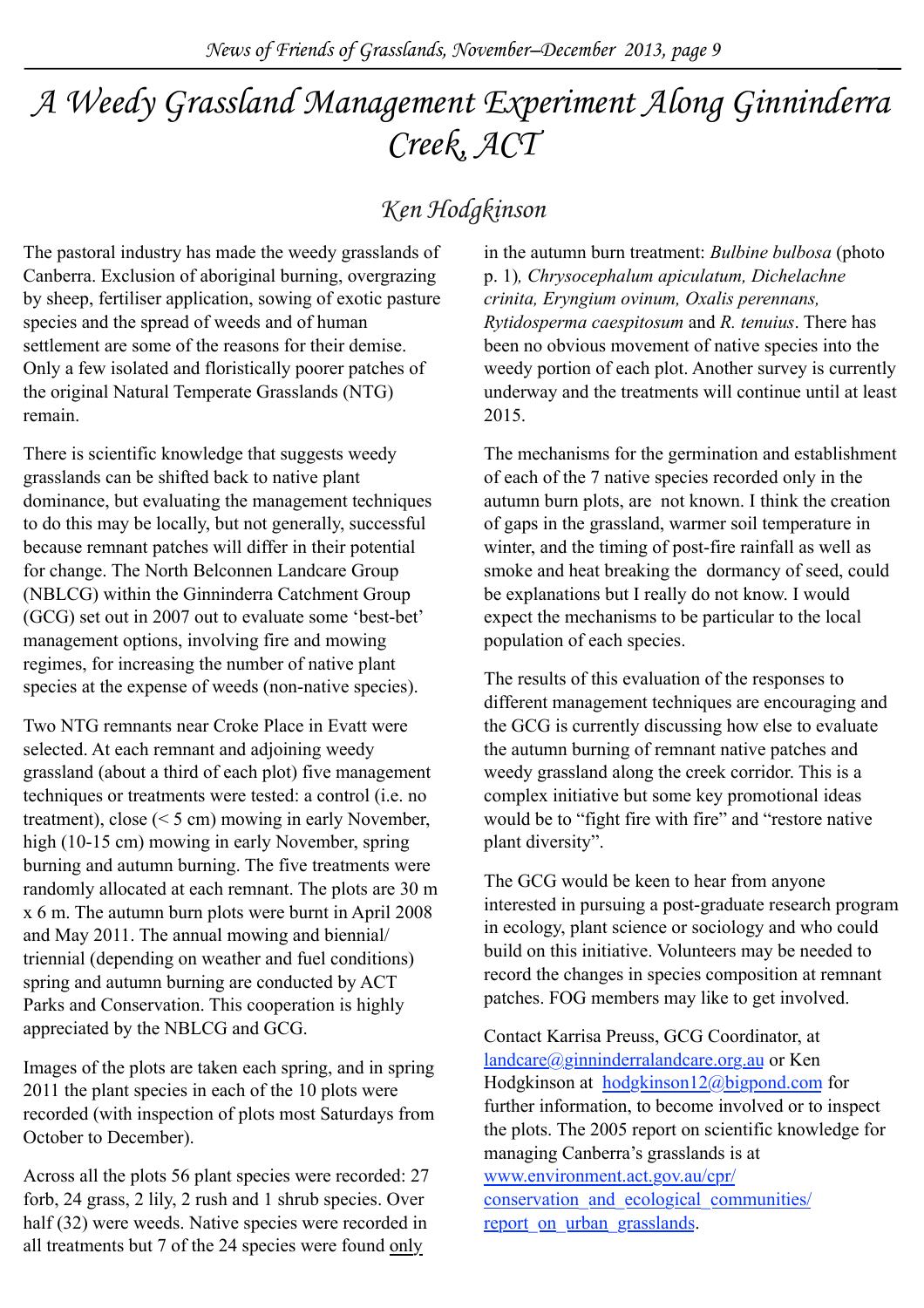## *A Weedy Grassland Management Experiment Along Ginninderra Creek, ACT*

### *Ken Hodgkinson*

The pastoral industry has made the weedy grasslands of Canberra. Exclusion of aboriginal burning, overgrazing by sheep, fertiliser application, sowing of exotic pasture species and the spread of weeds and of human settlement are some of the reasons for their demise. Only a few isolated and floristically poorer patches of the original Natural Temperate Grasslands (NTG) remain.

There is scientific knowledge that suggests weedy grasslands can be shifted back to native plant dominance, but evaluating the management techniques to do this may be locally, but not generally, successful because remnant patches will differ in their potential for change. The North Belconnen Landcare Group (NBLCG) within the Ginninderra Catchment Group (GCG) set out in 2007 out to evaluate some 'best-bet' management options, involving fire and mowing regimes, for increasing the number of native plant species at the expense of weeds (non-native species).

Two NTG remnants near Croke Place in Evatt were selected. At each remnant and adjoining weedy grassland (about a third of each plot) five management techniques or treatments were tested: a control (i.e. no treatment), close (< 5 cm) mowing in early November, high (10-15 cm) mowing in early November, spring burning and autumn burning. The five treatments were randomly allocated at each remnant. The plots are 30 m x 6 m. The autumn burn plots were burnt in April 2008 and May 2011. The annual mowing and biennial/ triennial (depending on weather and fuel conditions) spring and autumn burning are conducted by ACT Parks and Conservation. This cooperation is highly appreciated by the NBLCG and GCG.

Images of the plots are taken each spring, and in spring 2011 the plant species in each of the 10 plots were recorded (with inspection of plots most Saturdays from October to December).

Across all the plots 56 plant species were recorded: 27 forb, 24 grass, 2 lily, 2 rush and 1 shrub species. Over half (32) were weeds. Native species were recorded in all treatments but 7 of the 24 species were found only

in the autumn burn treatment: *Bulbine bulbosa* (photo p. 1)*, Chrysocephalum apiculatum, Dichelachne crinita, Eryngium ovinum, Oxalis perennans, Rytidosperma caespitosum* and *R. tenuius*. There has been no obvious movement of native species into the weedy portion of each plot. Another survey is currently underway and the treatments will continue until at least 2015.

The mechanisms for the germination and establishment of each of the 7 native species recorded only in the autumn burn plots, are not known. I think the creation of gaps in the grassland, warmer soil temperature in winter, and the timing of post-fire rainfall as well as smoke and heat breaking the dormancy of seed, could be explanations but I really do not know. I would expect the mechanisms to be particular to the local population of each species.

The results of this evaluation of the responses to different management techniques are encouraging and the GCG is currently discussing how else to evaluate the autumn burning of remnant native patches and weedy grassland along the creek corridor. This is a complex initiative but some key promotional ideas would be to "fight fire with fire" and "restore native plant diversity".

The GCG would be keen to hear from anyone interested in pursuing a post-graduate research program in ecology, plant science or sociology and who could build on this initiative. Volunteers may be needed to record the changes in species composition at remnant patches. FOG members may like to get involved.

Contact Karrisa Preuss, GCG Coordinator, at [landcare@ginninderralandcare.org.au](mailto:landcare@ginninderralandcare.org.au) or Ken Hodgkinson at [hodgkinson12@bigpond.com](mailto:hodgkinson12@bigpond.com) for further information, to become involved or to inspect the plots. The 2005 report on scientific knowledge for managing Canberra's grasslands is at [www.environment.act.gov.au/cpr/](http://www.environment.act.gov.au/cpr/conservation_and_ecological_communities/report_on_urban_grasslands) [conservation\\_and\\_ecological\\_communities/](http://www.environment.act.gov.au/cpr/conservation_and_ecological_communities/report_on_urban_grasslands) report on urban grasslands.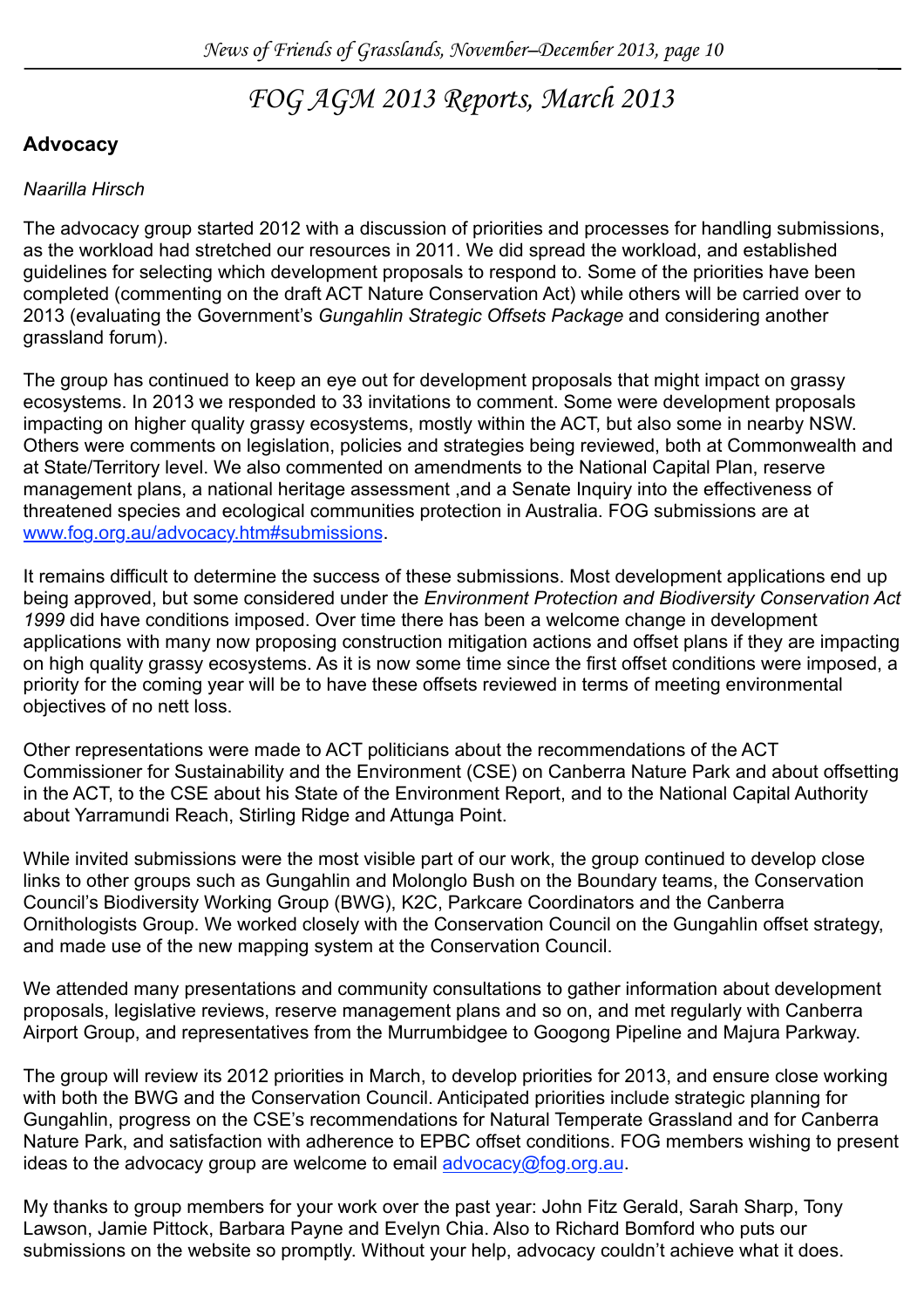### *FOG AGM 2013 Reports, March 2013*

#### **Advocacy**

#### *Naarilla Hirsch*

The advocacy group started 2012 with a discussion of priorities and processes for handling submissions, as the workload had stretched our resources in 2011. We did spread the workload, and established guidelines for selecting which development proposals to respond to. Some of the priorities have been completed (commenting on the draft ACT Nature Conservation Act) while others will be carried over to 2013 (evaluating the Government's *Gungahlin Strategic Offsets Package* and considering another grassland forum).

The group has continued to keep an eye out for development proposals that might impact on grassy ecosystems. In 2013 we responded to 33 invitations to comment. Some were development proposals impacting on higher quality grassy ecosystems, mostly within the ACT, but also some in nearby NSW. Others were comments on legislation, policies and strategies being reviewed, both at Commonwealth and at State/Territory level. We also commented on amendments to the National Capital Plan, reserve management plans, a national heritage assessment ,and a Senate Inquiry into the effectiveness of threatened species and ecological communities protection in Australia. FOG submissions are at [www.fog.org.au/advocacy.htm#submissions.](http://www.fog.org.au/advocacy.htm#submissions)

It remains difficult to determine the success of these submissions. Most development applications end up being approved, but some considered under the *Environment Protection and Biodiversity Conservation Act 1999* did have conditions imposed. Over time there has been a welcome change in development applications with many now proposing construction mitigation actions and offset plans if they are impacting on high quality grassy ecosystems. As it is now some time since the first offset conditions were imposed, a priority for the coming year will be to have these offsets reviewed in terms of meeting environmental objectives of no nett loss.

Other representations were made to ACT politicians about the recommendations of the ACT Commissioner for Sustainability and the Environment (CSE) on Canberra Nature Park and about offsetting in the ACT, to the CSE about his State of the Environment Report, and to the National Capital Authority about Yarramundi Reach, Stirling Ridge and Attunga Point.

While invited submissions were the most visible part of our work, the group continued to develop close links to other groups such as Gungahlin and Molonglo Bush on the Boundary teams, the Conservation Council's Biodiversity Working Group (BWG), K2C, Parkcare Coordinators and the Canberra Ornithologists Group. We worked closely with the Conservation Council on the Gungahlin offset strategy, and made use of the new mapping system at the Conservation Council.

We attended many presentations and community consultations to gather information about development proposals, legislative reviews, reserve management plans and so on, and met regularly with Canberra Airport Group, and representatives from the Murrumbidgee to Googong Pipeline and Majura Parkway.

The group will review its 2012 priorities in March, to develop priorities for 2013, and ensure close working with both the BWG and the Conservation Council. Anticipated priorities include strategic planning for Gungahlin, progress on the CSE's recommendations for Natural Temperate Grassland and for Canberra Nature Park, and satisfaction with adherence to EPBC offset conditions. FOG members wishing to present ideas to the advocacy group are welcome to email [advocacy@fog.org.au.](mailto:advocacy@fog.org.au)

My thanks to group members for your work over the past year: John Fitz Gerald, Sarah Sharp, Tony Lawson, Jamie Pittock, Barbara Payne and Evelyn Chia. Also to Richard Bomford who puts our submissions on the website so promptly. Without your help, advocacy couldn't achieve what it does.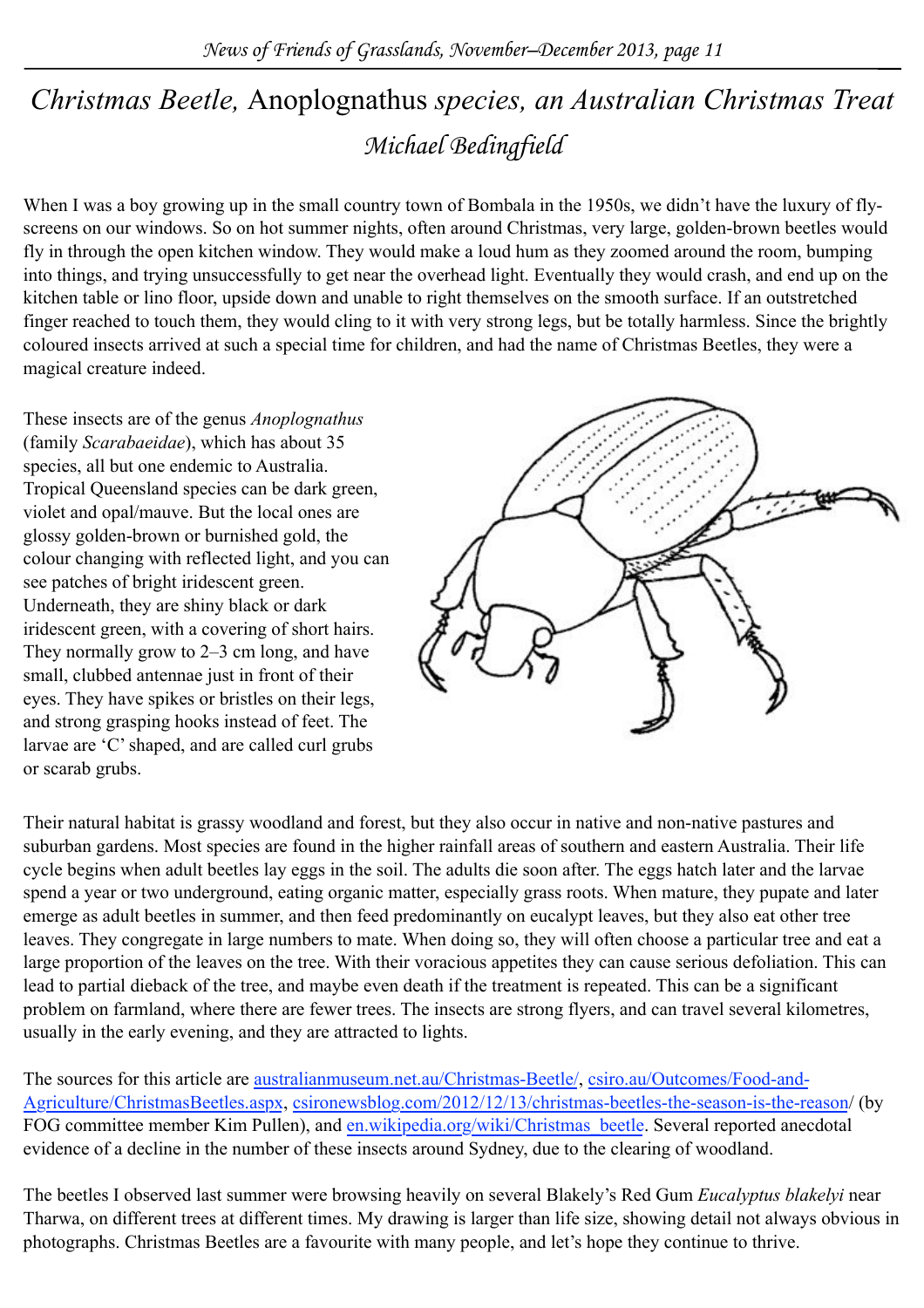### *Michael Bedingfield Christmas Beetle,* Anoplognathus *species, an Australian Christmas Treat*

When I was a boy growing up in the small country town of Bombala in the 1950s, we didn't have the luxury of flyscreens on our windows. So on hot summer nights, often around Christmas, very large, golden-brown beetles would fly in through the open kitchen window. They would make a loud hum as they zoomed around the room, bumping into things, and trying unsuccessfully to get near the overhead light. Eventually they would crash, and end up on the kitchen table or lino floor, upside down and unable to right themselves on the smooth surface. If an outstretched finger reached to touch them, they would cling to it with very strong legs, but be totally harmless. Since the brightly coloured insects arrived at such a special time for children, and had the name of Christmas Beetles, they were a magical creature indeed.

These insects are of the genus *Anoplognathus* (family *Scarabaeidae*), which has about 35 species, all but one endemic to Australia. Tropical Queensland species can be dark green, violet and opal/mauve. But the local ones are glossy golden-brown or burnished gold, the colour changing with reflected light, and you can see patches of bright iridescent green. Underneath, they are shiny black or dark iridescent green, with a covering of short hairs. They normally grow to 2–3 cm long, and have small, clubbed antennae just in front of their eyes. They have spikes or bristles on their legs, and strong grasping hooks instead of feet. The larvae are 'C' shaped, and are called curl grubs or scarab grubs.



Their natural habitat is grassy woodland and forest, but they also occur in native and non-native pastures and suburban gardens. Most species are found in the higher rainfall areas of southern and eastern Australia. Their life cycle begins when adult beetles lay eggs in the soil. The adults die soon after. The eggs hatch later and the larvae spend a year or two underground, eating organic matter, especially grass roots. When mature, they pupate and later emerge as adult beetles in summer, and then feed predominantly on eucalypt leaves, but they also eat other tree leaves. They congregate in large numbers to mate. When doing so, they will often choose a particular tree and eat a large proportion of the leaves on the tree. With their voracious appetites they can cause serious defoliation. This can lead to partial dieback of the tree, and maybe even death if the treatment is repeated. This can be a significant problem on farmland, where there are fewer trees. The insects are strong flyers, and can travel several kilometres, usually in the early evening, and they are attracted to lights.

The sources for this article are [australianmuseum.net.au/Christmas-Beetle/,](http://australianmuseum.net.au/Christmas-Beetle/) [csiro.au/Outcomes/Food-and-](http://www.csiro.au/Outcomes/Food-and-Agriculture/ChristmasBeetles.aspx)[Agriculture/ChristmasBeetles.aspx,](http://www.csiro.au/Outcomes/Food-and-Agriculture/ChristmasBeetles.aspx) [csironewsblog.com/2012/12/13/christmas-beetles-the-season-is-the-reason/](http://csironewsblog.com/2012/12/13/christmas-beetles-the-season-is-the-reason/) (by FOG committee member Kim Pullen), and [en.wikipedia.org/wiki/Christmas\\_beetle.](http://en.wikipedia.org/wiki/Christmas_beetle) Several reported anecdotal evidence of a decline in the number of these insects around Sydney, due to the clearing of woodland.

The beetles I observed last summer were browsing heavily on several Blakely's Red Gum *Eucalyptus blakelyi* near Tharwa, on different trees at different times. My drawing is larger than life size, showing detail not always obvious in photographs. Christmas Beetles are a favourite with many people, and let's hope they continue to thrive.